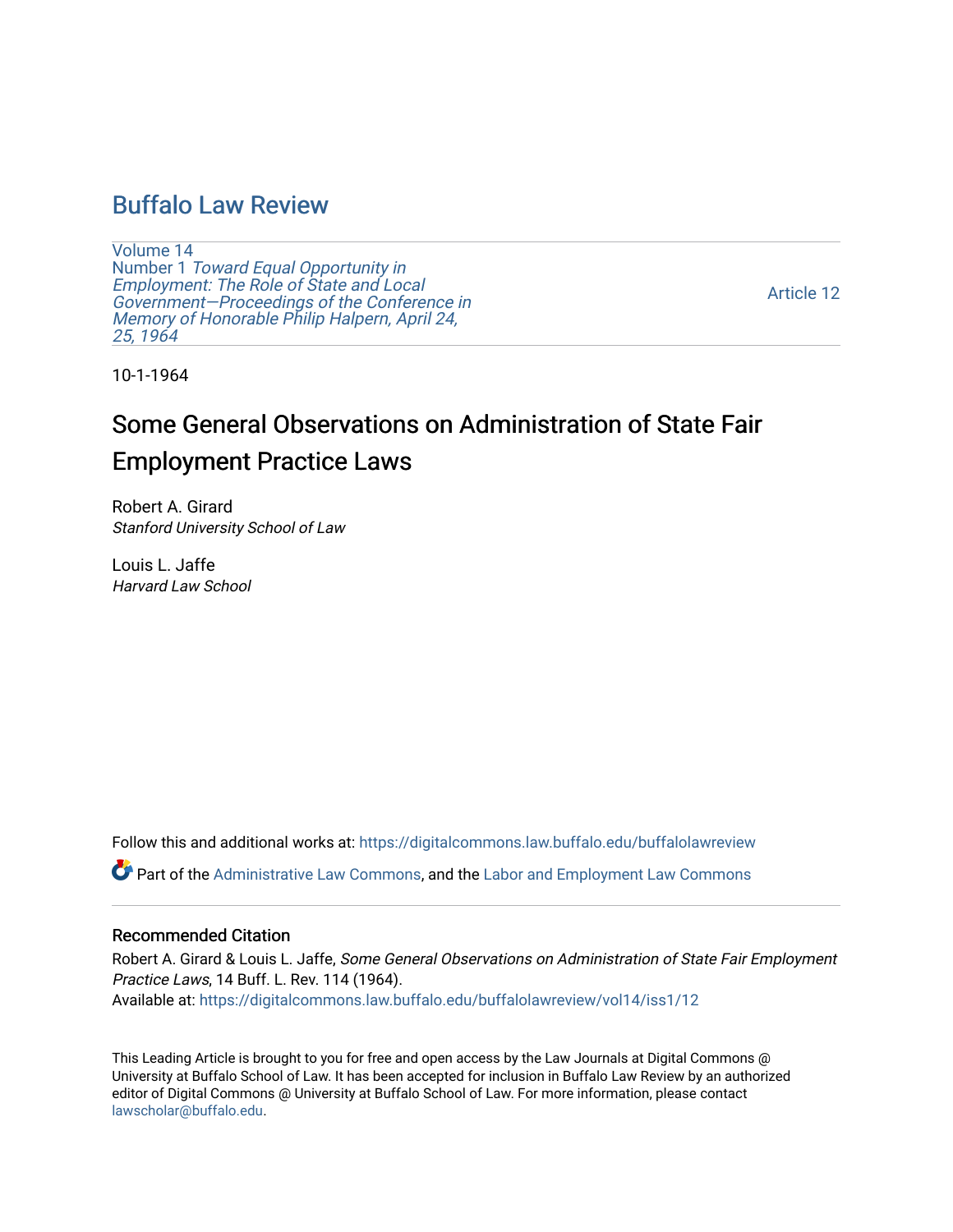## [Buffalo Law Review](https://digitalcommons.law.buffalo.edu/buffalolawreview)

[Volume 14](https://digitalcommons.law.buffalo.edu/buffalolawreview/vol14) Number 1 [Toward Equal Opportunity in](https://digitalcommons.law.buffalo.edu/buffalolawreview/vol14/iss1)  [Employment: The Role of State and Local](https://digitalcommons.law.buffalo.edu/buffalolawreview/vol14/iss1)  [Government—Proceedings of the Conference in](https://digitalcommons.law.buffalo.edu/buffalolawreview/vol14/iss1)  [Memory of Honorable Philip Halpern, April 24,](https://digitalcommons.law.buffalo.edu/buffalolawreview/vol14/iss1)  [25, 1964](https://digitalcommons.law.buffalo.edu/buffalolawreview/vol14/iss1) 

[Article 12](https://digitalcommons.law.buffalo.edu/buffalolawreview/vol14/iss1/12) 

10-1-1964

# Some General Observations on Administration of State Fair Employment Practice Laws

Robert A. Girard Stanford University School of Law

Louis L. Jaffe Harvard Law School

Follow this and additional works at: [https://digitalcommons.law.buffalo.edu/buffalolawreview](https://digitalcommons.law.buffalo.edu/buffalolawreview?utm_source=digitalcommons.law.buffalo.edu%2Fbuffalolawreview%2Fvol14%2Fiss1%2F12&utm_medium=PDF&utm_campaign=PDFCoverPages) 

Part of the [Administrative Law Commons,](http://network.bepress.com/hgg/discipline/579?utm_source=digitalcommons.law.buffalo.edu%2Fbuffalolawreview%2Fvol14%2Fiss1%2F12&utm_medium=PDF&utm_campaign=PDFCoverPages) and the [Labor and Employment Law Commons](http://network.bepress.com/hgg/discipline/909?utm_source=digitalcommons.law.buffalo.edu%2Fbuffalolawreview%2Fvol14%2Fiss1%2F12&utm_medium=PDF&utm_campaign=PDFCoverPages) 

## Recommended Citation

Robert A. Girard & Louis L. Jaffe, Some General Observations on Administration of State Fair Employment Practice Laws, 14 Buff. L. Rev. 114 (1964). Available at: [https://digitalcommons.law.buffalo.edu/buffalolawreview/vol14/iss1/12](https://digitalcommons.law.buffalo.edu/buffalolawreview/vol14/iss1/12?utm_source=digitalcommons.law.buffalo.edu%2Fbuffalolawreview%2Fvol14%2Fiss1%2F12&utm_medium=PDF&utm_campaign=PDFCoverPages)

This Leading Article is brought to you for free and open access by the Law Journals at Digital Commons @ University at Buffalo School of Law. It has been accepted for inclusion in Buffalo Law Review by an authorized editor of Digital Commons @ University at Buffalo School of Law. For more information, please contact [lawscholar@buffalo.edu](mailto:lawscholar@buffalo.edu).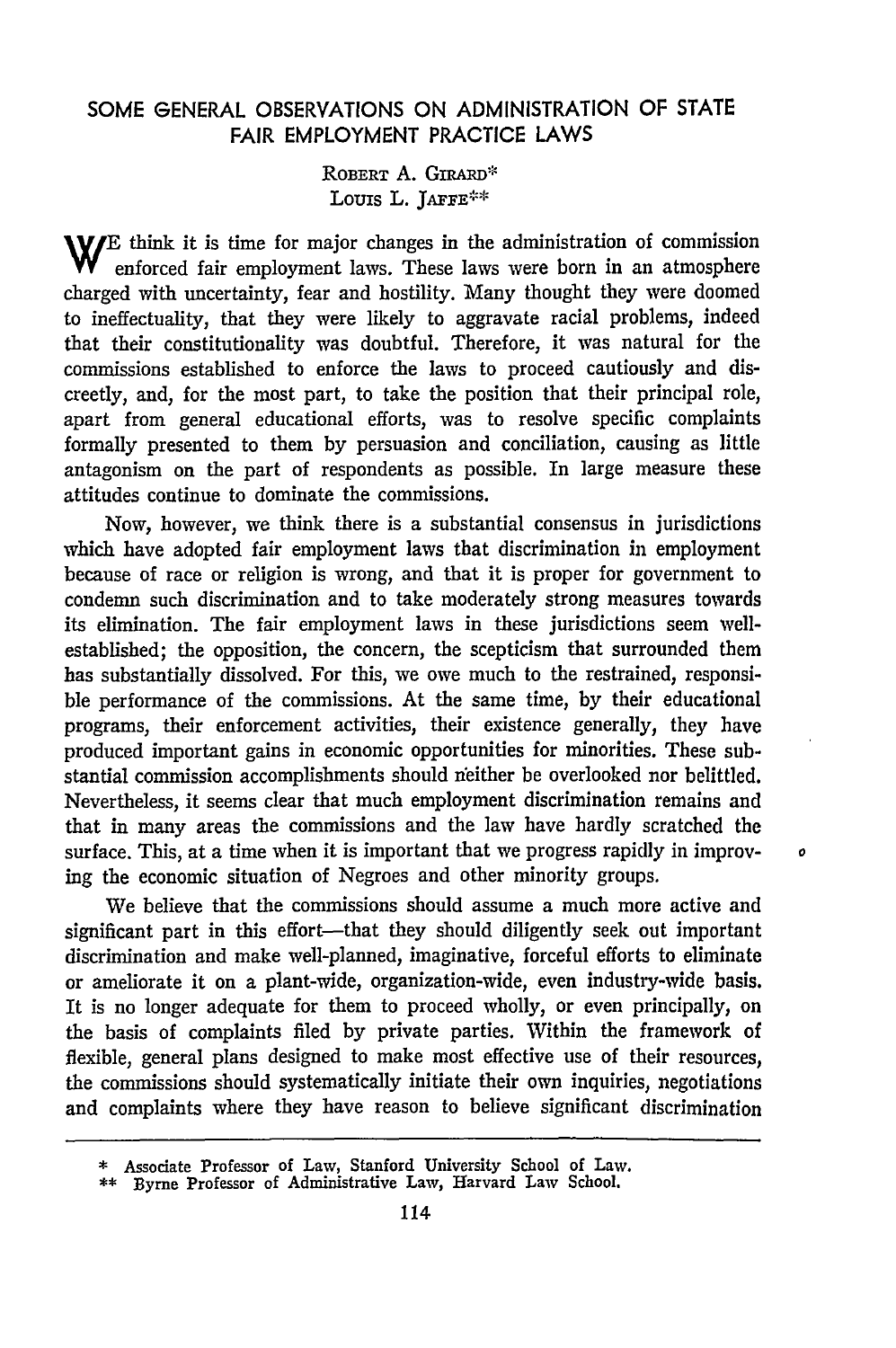#### **SOME GENERAL** OBSERVATIONS **ON** ADMINISTRATION OF STATE FAIR EMPLOYMENT PRACTICE LAWS

#### ROBERT A. GIRARD\* Louis L. **JAFFE\*\***

WF think it is time for major changes in the administration of commission enforced fair employment laws. These laws were born in an atmosphere charged with uncertainty, fear and hostility. Many thought they were doomed to ineffectuality, that they were likely to aggravate racial problems, indeed that their constitutionality was doubtful. Therefore, it was natural for the commissions established to enforce the laws to proceed cautiously and discreetly, and, for the most part, to take the position that their principal role, apart from general educational efforts, was to resolve specific complaints formally presented to them **by** persuasion and conciliation, causing as little antagonism on the part of respondents as possible. In large measure these attitudes continue to dominate the commissions.

Now, however, we think there is a substantial consensus in jurisdictions which have adopted fair employment laws that discrimination in employment because of race or religion is wrong, and that it is proper for government to condemn such discrimination and to take moderately strong measures towards its elimination. The fair employment laws in these jurisdictions seem wellestablished; the opposition, the concern, the scepticism that surrounded them has substantially dissolved. For this, we owe much to the restrained, responsible performance of the commissions. At the same time, **by** their educational programs, their enforcement activities, their existence generally, they have produced important gains in economic opportunities for minorities. These substantial commission accomplishments should neither be overlooked nor belittled. Nevertheless, it seems clear that much employment discrimination remains and that in many areas the commissions and the law have hardly scratched the surface. This, at a time when it is important that we progress rapidly in improving the economic situation of Negroes and other minority groups.

o

We believe that the commissions should assume a much more active and significant part in this effort--that they should diligently seek out important discrimination and make well-planned, imaginative, forceful efforts to eliminate or ameliorate it on a plant-wide, organization-wide, even industry-wide basis. It is no longer adequate for them to proceed wholly, or even principally, on the basis of complaints filed **by** private parties. Within the framework of flexible, general plans designed to make most effective use of their resources, the commissions should systematically initiate their own inquiries, negotiations and complaints where they have reason to believe significant discrimination

<sup>\*</sup>Associate Professor of Law, Stanford University School of Law.

<sup>\*\*</sup> Byrne Professor of Administrative Law, Harvard Law School.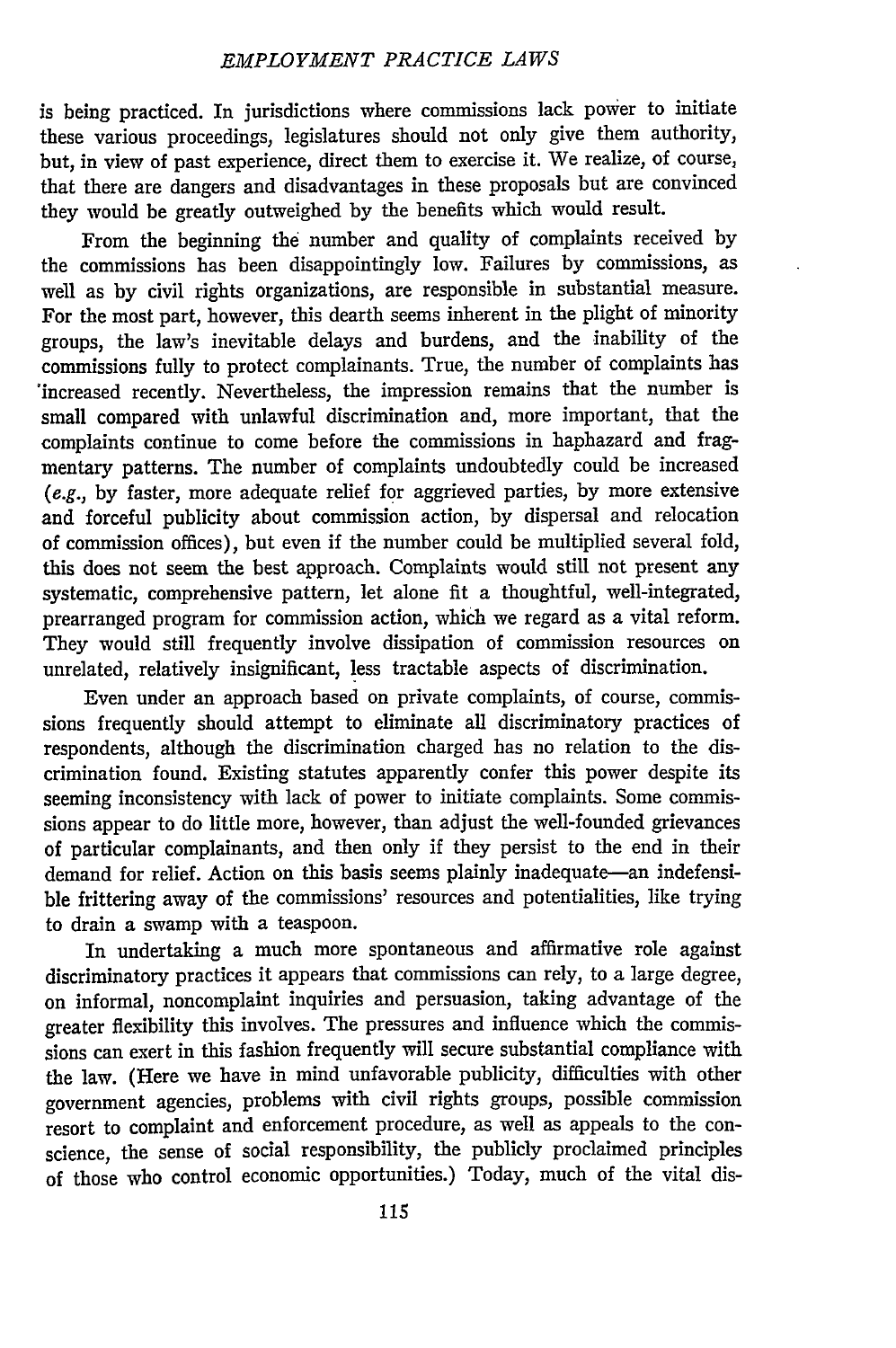is being practiced. In jurisdictions where commissions lack power to initiate these various proceedings, legislatures should not only give them authority, but, in view of past experience, direct them to exercise it. We realize, of course, that there are dangers and disadvantages in these proposals but are convinced they would be greatly outweighed by the benefits which would result.

From the beginning the number and quality of complaints received by the commissions has been disappointingly low. Failures by commissions, as well as by civil rights organizations, are responsible in substantial measure. For the most part, however, this dearth seems inherent in the plight of minority groups, the law's inevitable delays and burdens, and the inability of the commissions fully to protect complainants. True, the number of complaints has 'increased recently. Nevertheless, the impression remains that the number is small compared with unlawful discrimination and, more important, that the complaints continue to come before the commissions in haphazard and fragmentary patterns. The number of complaints undoubtedly could be increased (e.g., by faster, more adequate relief for aggrieved parties, by more extensive and forceful publicity about commission action, by dispersal and relocation of commission offices), but even if the number could be multiplied several fold, this does not seem the best approach. Complaints would still not present any systematic, comprehensive pattern, let alone fit a thoughtful, well-integrated prearranged program for commission action, which we regard as a vital reform. They would still frequently involve dissipation of commission resources on unrelated, relatively insignificant, less tractable aspects of discrimination.

Even under an approach based on private complaints, of course, commissions frequently should attempt to eliminate all discriminatory practices of respondents, although the discrimination charged has no relation to the discrimination found. Existing statutes apparently confer this power despite its seeming inconsistency with lack of power to initiate complaints. Some commissions appear to do little more, however, than adjust the well-founded grievances of particular complainants, and then only if they persist to the end in their demand for relief. Action on this basis seems plainly inadequate-an indefensible frittering away of the commissions' resources and potentialities, like trying to drain a swamp with a teaspoon.

In undertaking a much more spontaneous and affirmative role against discriminatory practices it appears that commissions can rely, to a large degree, on informal, noncomplaint inquiries and persuasion, taking advantage of the greater flexibility this involves. The pressures and influence which the commissions can exert in this fashion frequently will secure substantial compliance with the law. (Here we have in mind unfavorable publicity, difficulties with other government agencies, problems with civil rights groups, possible commission resort to complaint and enforcement procedure, as well as appeals to the conscience, the sense of social responsibility, the publicly proclaimed principles of those who control economic opportunities.) Today, much of the vital dis-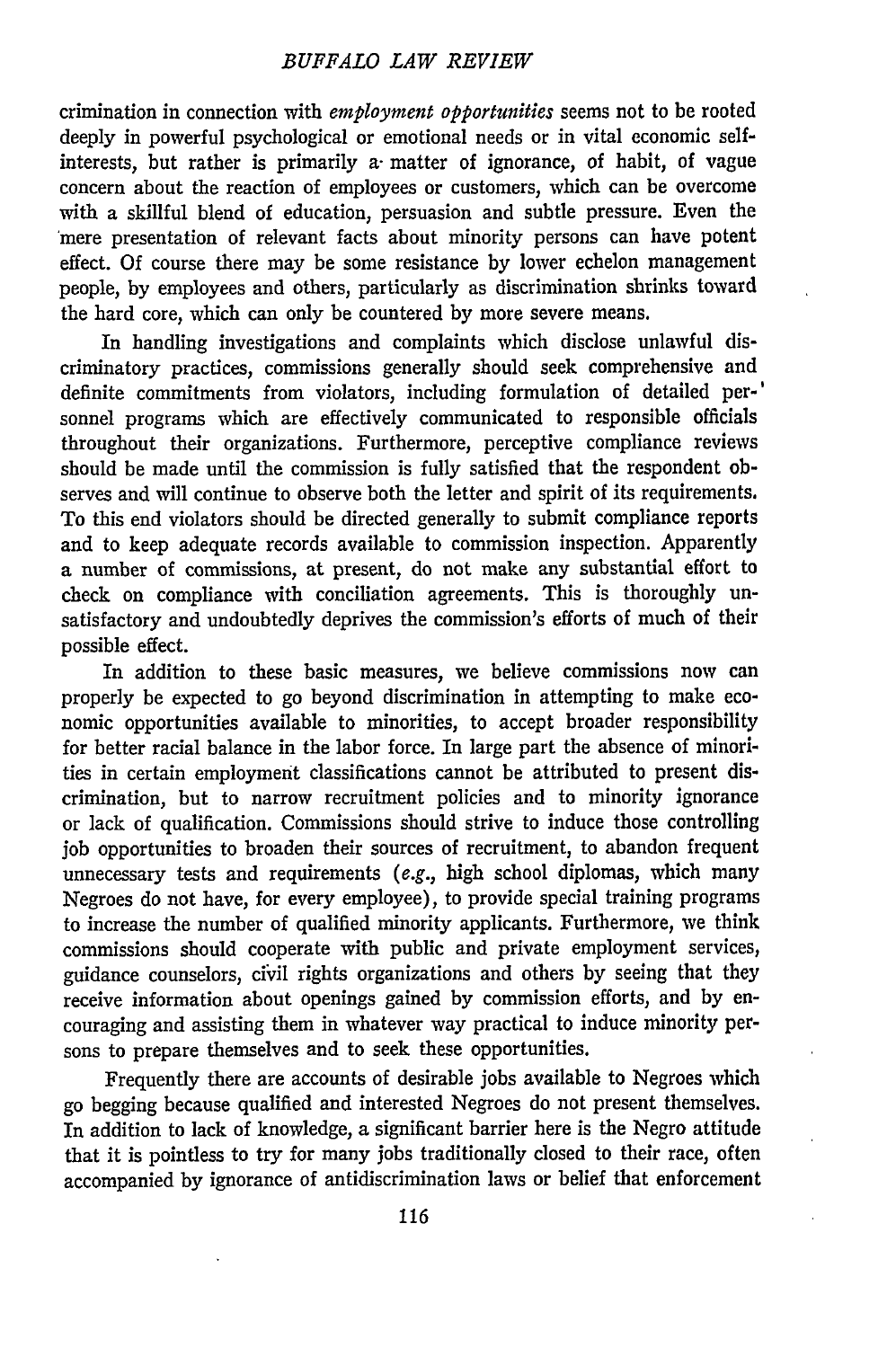#### *BUFFALO LAW REVIEW*

crimination in connection with *employment opportunities* seems not to be rooted deeply in powerful psychological or emotional needs or in vital economic selfinterests, but rather is primarily a- matter of ignorance, of habit, of vague concern about the reaction of employees or customers, which can be overcome with a skillful blend of education, persuasion and subtle pressure. Even the mere presentation of relevant facts about minority persons can have potent effect. Of course there may be some resistance by lower echelon management people, by employees and others, particularly as discrimination shrinks toward the hard core, which can only be countered by more severe means.

In handling investigations and complaints which disclose unlawful discriminatory practices, commissions generally should seek comprehensive and definite commitments from violators, including formulation of detailed per-' sonnel programs which are effectively communicated to responsible officials throughout their organizations. Furthermore, perceptive compliance reviews should be made until the commission is fully satisfied that the respondent observes and will continue to observe both the letter and spirit of its requirements. To this end violators should be directed generally to submit compliance reports and to keep adequate records available to commission inspection. Apparently a number of commissions, at present, do not make any substantial effort to check on compliance with conciliation agreements. This is thoroughly unsatisfactory and undoubtedly deprives the commission's efforts of much of their possible effect.

In addition to these basic measures, we believe commissions now can properly be expected to go beyond discrimination in attempting to make economic opportunities available to minorities, to accept broader responsibility for better racial balance in the labor force. In large part the absence of minorities in certain employment classifications cannot be attributed to present discrimination, but to narrow recruitment policies and to minority ignorance or lack of qualification. Commissions should strive to induce those controlling job opportunities to broaden their sources of recruitment, to abandon frequent unnecessary tests and requirements *(e.g.,* high school diplomas, which many Negroes do not have, for every employee), to provide special training programs to increase the number of qualified minority applicants. Furthermore, we think commissions should cooperate with public and private employment services, guidance counselors, civil rights organizations and others by seeing that they receive information about openings gained by commission efforts, and by encouraging and assisting them in whatever way practical to induce minority persons to prepare themselves and to seek these opportunities.

Frequently there are accounts of desirable jobs available to Negroes which go begging because qualified and interested Negroes do not present themselves. In addition to lack of knowledge, a significant barrier here is the Negro attitude that it is pointless to try for many jobs traditionally closed to their race, often accompanied by ignorance of antidiscrimination laws or belief that enforcement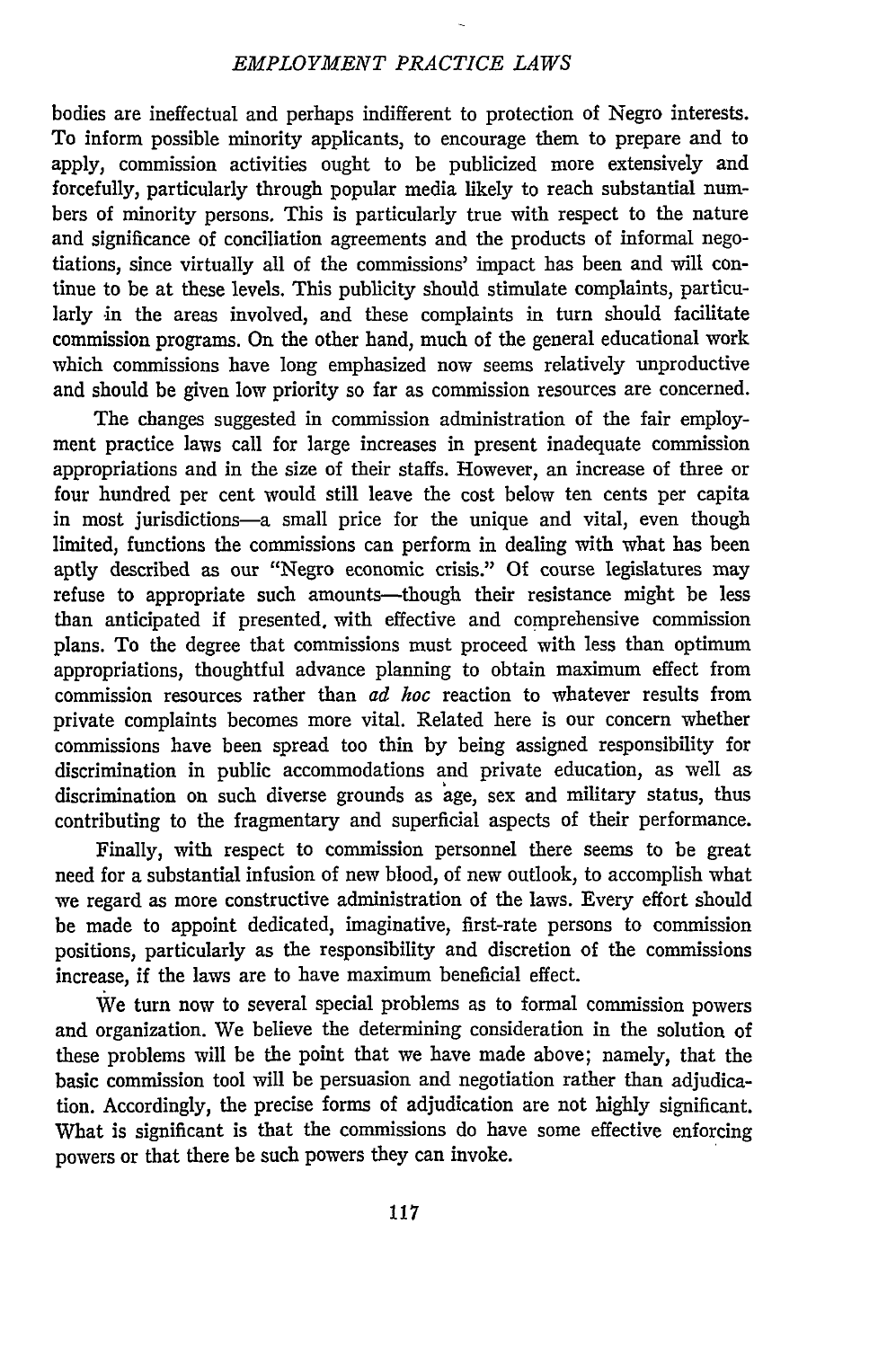#### *EMPLOYMENT PRACTICE LAWS*

bodies are ineffectual and perhaps indifferent to protection of Negro interests. To inform possible minority applicants, to encourage them to prepare and to apply, commission activities ought to be publicized more extensively and forcefully, particularly through popular media likely to reach substantial numbers of minority persons. This is particularly true with respect to the nature and significance of conciliation agreements and the products of informal negotiations, since virtually all of the commissions' impact has been and will continue to be at these levels. This publicity should stimulate complaints, particularly in the areas involved, and these complaints in turn should facilitate commission programs. On the other hand, much of the general educational work which commissions have long emphasized now seems relatively unproductive and should be given low priority so far as commission resources are concerned.

The changes suggested in commission administration of the fair employment practice laws call for large increases in present inadequate commission appropriations and in the size of their staffs. However, an increase of three or four hundred per cent would still leave the cost below ten cents per capita in most jurisdictions-a small price for the unique and vital, even though limited, functions the commissions can perform in dealing with what has been aptly described as our "Negro economic crisis." Of course legislatures may refuse to appropriate such amounts-though their resistance might be less than anticipated if presented, with effective and comprehensive commission plans. To the degree that commissions must proceed with less than optimum appropriations, thoughtful advance planning to obtain maximum effect from commission resources rather than *ad hoc* reaction to whatever results from private complaints becomes more vital. Related here is our concern whether commissions have been spread too thin by being assigned responsibility for discrimination in public accommodations and private education, as well as discrimination on such diverse grounds as age, sex and military status, thus contributing to the fragmentary and superficial aspects of their performance.

Finally, with respect to commission personnel there seems to be great need for a substantial infusion of new blood, of new outlook, to accomplish what we regard as more constructive administration of the laws. Every effort should be made to appoint dedicated, imaginative, first-rate persons to commission positions, particularly as the responsibility and discretion of the commissions increase, if the laws are to have maximum beneficial effect.

We turn now to several special problems as to formal commission powers and organization. We believe the determining consideration in the solution of these problems will be the point that we have made above; namely, that the basic commission tool will be persuasion and negotiation rather than adjudication. Accordingly, the precise forms of adjudication are not highly significant. What is significant is that the commissions do have some effective enforcing powers or that there be such powers they can invoke.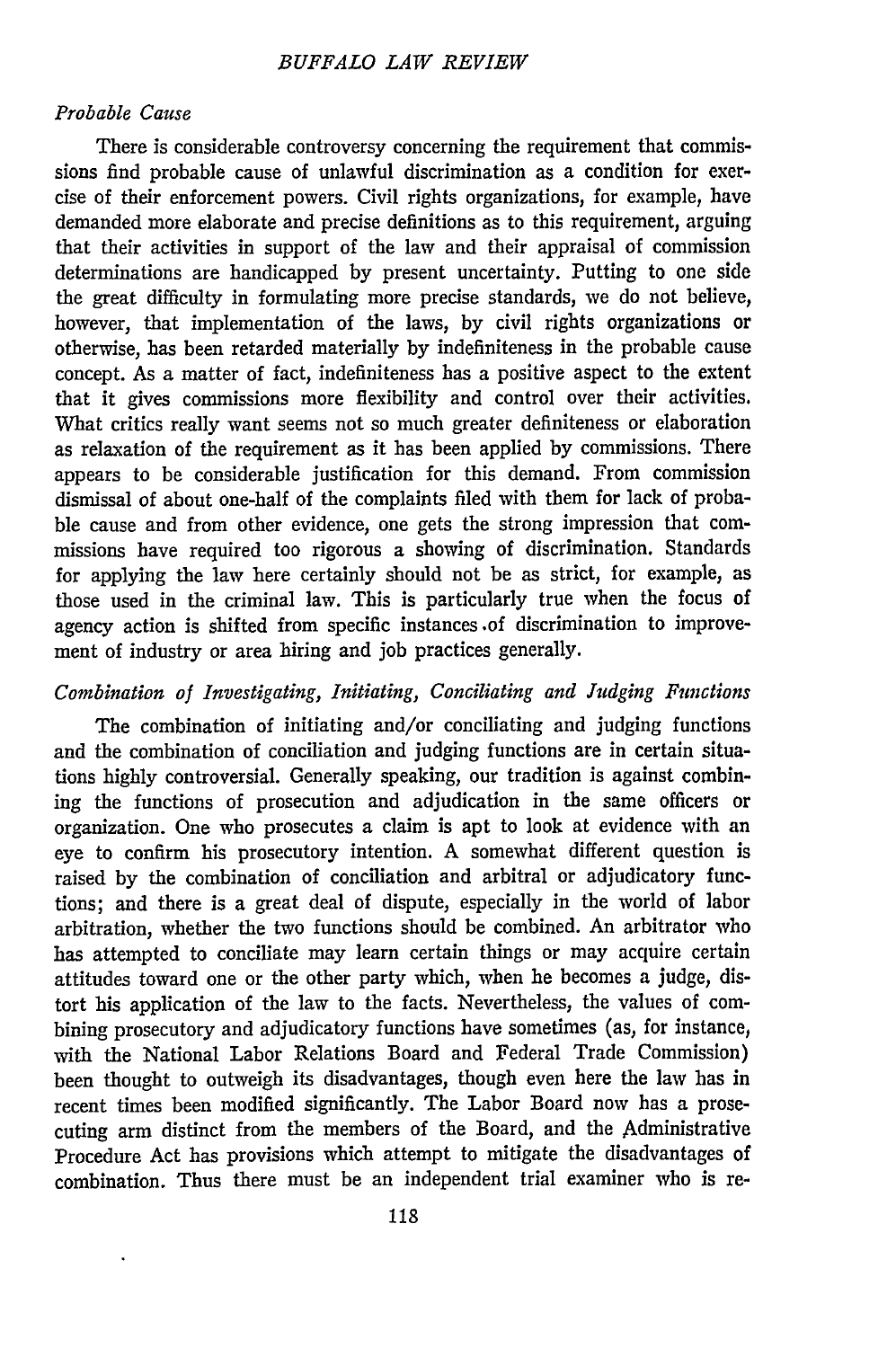#### *Probable Cause*

There is considerable controversy concerning the requirement that commissions find probable cause of unlawful discrimination as a condition for exercise of their enforcement powers. Civil rights organizations, for example, have demanded more elaborate and precise definitions as to this requirement, arguing that their activities in support of the law and their appraisal of commission determinations are handicapped by present uncertainty. Putting to one side the great difficulty in formulating more precise standards, we do not believe, however, that implementation of the laws, by civil rights organizations or otherwise, has been retarded materially by indefiniteness in the probable cause concept. As a matter of fact, indefiniteness has a positive aspect to the extent that it gives commissions more flexibility and control over their activities. What critics really want seems not so much greater definiteness or elaboration as relaxation of the requirement as it has been applied by commissions. There appears to be considerable justification for this demand. From commission dismissal of about one-half of the complaints filed with them for lack of probable cause and from other evidence, one gets the strong impression that commissions have required too rigorous a showing of discrimination. Standards for applying the law here certainly should not be as strict, for example, as those used in the criminal law. This is particularly true when the focus of agency action is shifted from specific instances .of discrimination to improvement of industry or area hiring and job practices generally.

#### *Combination of Investigating, Initiating, Conciliating and Judging Functions*

The combination of initiating and/or conciliating and judging functions and the combination of conciliation and judging functions are in certain situations highly controversial. Generally speaking, our tradition is against combining the functions of prosecution and adjudication in the same officers or organization. One who prosecutes a claim is apt to look at evidence with an eye to confirm his prosecutory intention. A somewhat different question is raised by the combination of conciliation and arbitral or adjudicatory functions; and there is a great deal of dispute, especially in the world of labor arbitration, whether the two functions should be combined. An arbitrator who has attempted to conciliate may learn certain things or may acquire certain attitudes toward one or the other party which, when he becomes a judge, distort his application of the law to the facts. Nevertheless, the values of combining prosecutory and adjudicatory functions have sometimes (as, for instance, with the National Labor Relations Board and Federal Trade Commission) been thought to outweigh its disadvantages, though even here the law has in recent times been modified significantly. The Labor Board now has a prosecuting arm distinct from the members of the Board, and the Administrative Procedure Act has provisions which attempt to mitigate the disadvantages of combination. Thus there must be an independent trial examiner who is re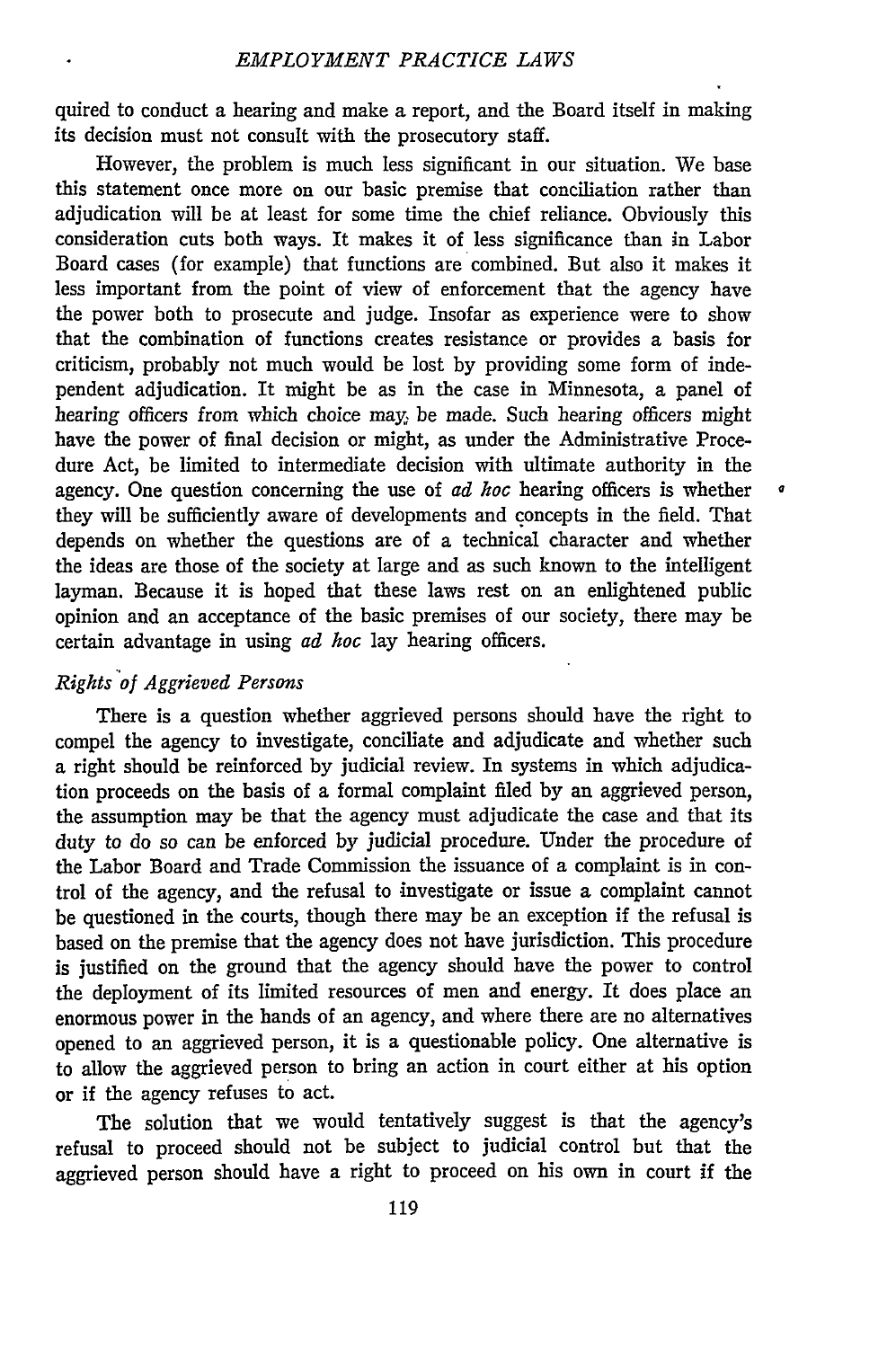quired to conduct a hearing and make a report, and the Board itself in making its decision must not consult with the prosecutory staff.

However, the problem is much less significant in our situation. We base this statement once more on our basic premise that conciliation rather than adjudication will be at least for some time the chief reliance. Obviously this consideration cuts both ways. It makes it of less significance than in Labor Board cases (for example) that functions are combined. But also it makes it less important from the point of view of enforcement that the agency have the power both to prosecute and judge. Insofar as experience were to show that the combination of functions creates resistance or provides a basis for criticism, probably not much would be lost by providing some form of independent adjudication. It might be as in the case in Minnesota, a panel of hearing officers from which choice may, be made. Such hearing officers might have the power of final decision or might, as under the Administrative Procedure Act, be limited to intermediate decision with ultimate authority in the agency. One question concerning the use of *ad hoc* hearing officers is whether they will be sufficiently aware of developments and concepts in the field. That depends on whether the questions are of a technical character and whether the ideas are those of the society at large and as such known to the intelligent layman. Because it is hoped that these laws rest on an enlightened public opinion and an acceptance of the basic premises of our society, there may be certain advantage in using *ad hoc* lay hearing officers.

 $\pmb{\sigma}$ 

### *Rights of Aggrieved Persons*

There is a question whether aggrieved persons should have the right to compel the agency to investigate, conciliate and adjudicate and whether such a right should be reinforced by judicial review. In systems in which adjudication proceeds on the basis of a formal complaint filed by an aggrieved person, the assumption may be that the agency must adjudicate the case and that its duty to do so can be enforced by judicial procedure. Under the procedure of the Labor Board and Trade Commission the issuance of a complaint is in control of the agency, and the refusal to investigate or issue a complaint cannot be questioned in the courts, though there may be an exception if the refusal is based on the premise that the agency does not have jurisdiction. This procedure is justified on the ground that the agency should have the power to control the deployment of its limited resources of men and energy. It does place an enormous power in the hands of an agency, and where there are no alternatives opened to an aggrieved person, it is a questionable policy. One alternative is to allow the aggrieved person to bring an action in court either at his option or if the agency refuses to act.

The solution that we would tentatively suggest is that the agency's refusal to proceed should not be subject to judicial control but that the aggrieved person should have a right to proceed on his own in court if the